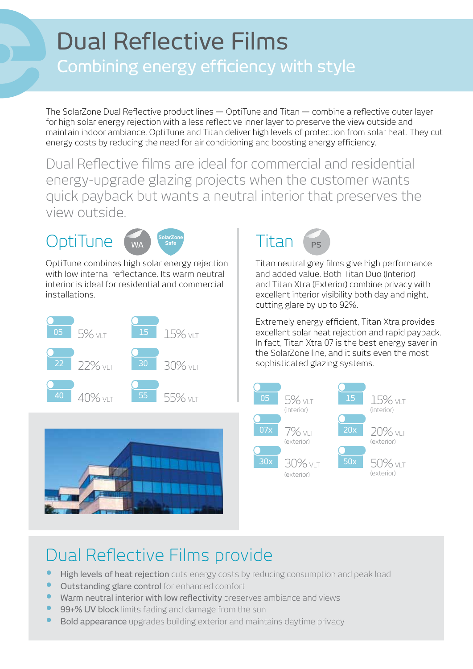## **Dual Reflective Films**

## Combining energy efficiency with style

The SolarZone Dual Reflective product lines  $-$  OptiTune and Titan  $-$  combine a reflective outer layer for high solar energy rejection with a less reflective inner layer to preserve the view outside and maintain indoor ambiance. OptiTune and Titan deliver high levels of protection from solar heat. They cut energy costs by reducing the need for air conditioning and boosting energy efficiency.

Dual Reflective films are ideal for commercial and residential energy-upgrade glazing projects when the customer wants quick payback but wants a neutral interior that preserves the view outside.

## **OptiTune**



OptiTune combines high solar energy rejection with low internal reflectance. Its warm neutral interior is ideal for residential and commercial .installations







Titan neutral grey films give high performance and added value. Both Titan Duo (Interior) and Titan Xtra (Exterior) combine privacy with excellent interior visibility both day and night, cutting glare by up to 92%.

Extremely energy efficient, Titan Xtra provides excellent solar heat rejection and rapid payback. In fact, Titan Xtra 07 is the best energy saver in the SolarZone line, and it suits even the most sophisticated glazing systems.



## Dual Reflective Films provide

- High levels of heat rejection cuts energy costs by reducing consumption and peak load
- **•** Outstanding glare control for enhanced comfort
- Warm neutral interior with low reflectivity preserves ambiance and views
- 99+% UV block limits fading and damage from the sun
- Bold appearance upgrades building exterior and maintains daytime privacy